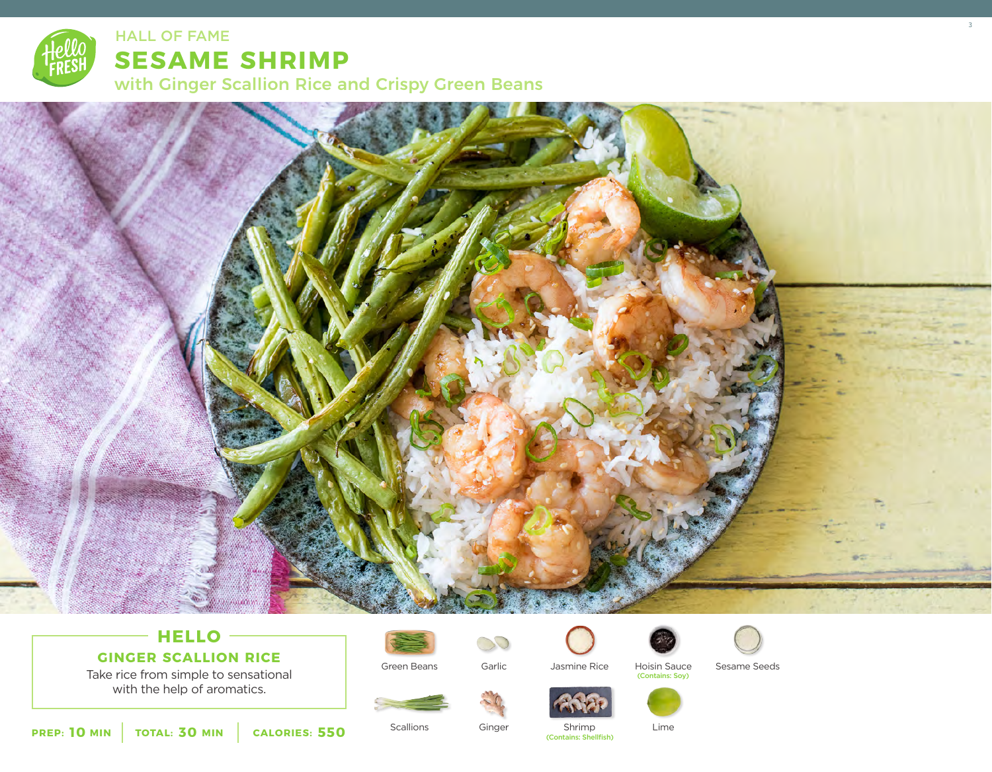

## **SESAME SHRIMP**

with Ginger Scallion Rice and Crispy Green Beans



HALL OF FAME ALL ASSESSMENT CONTROL IN THE SERVICE OF STATE AND INTERFERING A STATE OF STATE AND INTERFERING A

## **HELLO**

**GINGER SCALLION RICE**





Green Beans



Garlic

DO.

Ginger



Jasmine Rice Hoisin Sauce Sesame Seeds<br>Contains: Soy)



**Scallions** 

Shrimp (Contains: Shellfish)

Lime

**10** MIN | TOTAL: 30 MIN | CALORIES: 550